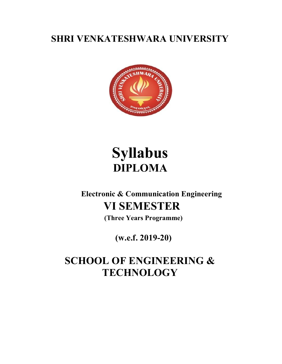# SHRI VENKATESHWARA UNIVERSITY



# Syllabus DIPLOMA

# Electronic & Communication Engineering VI SEMESTER

(Three Years Programme)

# (w.e.f. 2019-20)

# SCHOOL OF ENGINEERING & **TECHNOLOGY**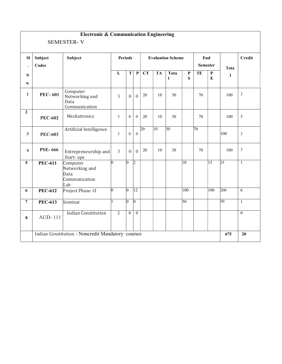|                         |                  | <b>Electronic &amp; Communication Engineering</b>          |                |                  |                  |                 |              |                          |                  |                        |                  |              |                |
|-------------------------|------------------|------------------------------------------------------------|----------------|------------------|------------------|-----------------|--------------|--------------------------|------------------|------------------------|------------------|--------------|----------------|
|                         |                  | <b>SEMESTER-V</b>                                          |                |                  |                  |                 |              |                          |                  |                        |                  |              |                |
| SI<br>$\bullet$         | Subject<br>Codes | Subject                                                    |                | <b>Periods</b>   |                  |                 |              | <b>Evaluation Scheme</b> |                  | End<br><b>Semester</b> |                  | Tota         | Credit         |
| ${\bf N}$<br>0.         |                  |                                                            | $\mathbf{L}$   | $\mathbf T$      | $\mathbf P$      | <b>CT</b>       | <b>TA</b>    | Tota<br>1                | $\mathbf P$<br>S | TE                     | $\mathbf P$<br>E | $\mathbf{l}$ |                |
| $\mathbf{1}$            | <b>PEC-601</b>   | Computer<br>Networking and<br>Data<br>Communication        | $\overline{3}$ | $\mathbf{0}$     | $\overline{0}$   | 20              | 10           | 30                       |                  | 70                     |                  | 100          | $\mathfrak{Z}$ |
| $\overline{2}$          | <b>PEC-602</b>   | Mechatronics                                               | $\overline{3}$ | $\boldsymbol{0}$ | $\overline{0}$   | 20              | 10           | 30                       |                  | 70                     |                  | 100          | $\mathfrak{Z}$ |
| 3                       | <b>PEC-603</b>   | Artificial Intelligence                                    | $\overline{3}$ | $\boldsymbol{0}$ | $\boldsymbol{0}$ | $\overline{20}$ | $ 10\rangle$ | $\overline{30}$          |                  | 70                     |                  | 100          | $\mathfrak{Z}$ |
| $\overline{\mathbf{4}}$ | <b>PSE-666</b>   | Entrepreneurship and<br>Start-ups                          | $\overline{3}$ | $\overline{0}$   | $\overline{0}$   | 20              | 10           | 30                       |                  | 70                     |                  | 100          | $\mathfrak{Z}$ |
| $\overline{5}$          | <b>PEC-611</b>   | Computer<br>Networking and<br>Data<br>Communication<br>Lab | n.             | $\Omega$         | $\overline{2}$   |                 |              |                          | $ 10\rangle$     |                        | $\overline{15}$  | 25           | $\mathbf{1}$   |
| 6                       | <b>PEC-612</b>   | Project Phase -II                                          | $\overline{0}$ | n                | $ 12\rangle$     |                 |              |                          | $ 100\rangle$    |                        | 100              | 200          | 6              |
| $\overline{7}$          | <b>PEC-613</b>   | Seminar                                                    |                | l0.              | $\vert 0 \vert$  |                 |              |                          | $\overline{50}$  |                        |                  | 50           | 1              |
| 8                       | <b>AUD-111</b>   | <b>Indian Constitution</b>                                 | $\overline{2}$ | $\boldsymbol{0}$ | $\boldsymbol{0}$ |                 |              |                          |                  |                        |                  |              | $\mathbf{0}$   |
|                         |                  | Indian Constitution - Noncredit Mandatory courses          |                |                  |                  |                 |              |                          |                  |                        |                  | 675          | 20             |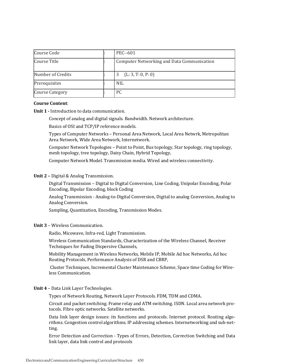| Course Code            | PEC--601                                          |
|------------------------|---------------------------------------------------|
| Course Title           | <b>Computer Networking and Data Communication</b> |
| Number of Credits      | (L: 3, T: 0, P: 0)                                |
| Prerequisites          | <b>NIL</b>                                        |
| <b>Course Category</b> | PC.                                               |

#### Course Content:

Unit 1 - Introduction to data communication.

Concept of analog and digital signals. Bandwidth. Network architecture.

Basics of OSI and TCP/IP reference models.

Types of Computer Networks – Personal Area Network, Local Area Netwrk, Metropolitan Area Network, Wide Area Network, Internetwork.

Computer Network Topologies – Point to Point, Bus topology, Star topology, ring topology, mesh topology, tree topology, Daisy Chain, Hybrid Topology,

Computer Network Model. Transmission media. Wired and wireless connectivity.

#### Unit 2 – Digital & Analog Transmission.

Digital Transmission – Digital to Digital Conversion, Line Coding, Unipolar Encoding, Polar Encoding, Bipolar Encoding, block Coding

Analog Transmission - Analog-to-Digital Conversion, Digital to analog Conversion, Analog to Analog Conversion.

Sampling, Quantization, Encoding, Transmission Modes.

#### Unit 3 – Wireless Communication.

Radio, Micowave, Infra-red, Light Transmission.

Wireless Communication Standards, Characterization of the Wireless Channel, Receiver Techniques for Fading Dispersive Channels,

Mobility Management in Wireless Networks, Mobile IP, Mobile Ad hoc Networks, Ad hoc Routing Protocols, Performance Analysis of DSR and CBRP,

Cluster Techniques, Incremental Cluster Maintenance Scheme, Space time Coding for Wireless Communication.

#### Unit 4 – Data Link Layer Technologies.

Types of Network Routing, Network Layer Protocols. FDM, TDM and CDMA.

Circuit and packet switching. Frame relay and ATM switching. ISDN. Local area network protocols. Fibre optic networks. Satellite networks.

Data link layer design issues: its functions and protocols. Internet protocol. Routing algorithms. Congestion control algorithms. IP addressing schemes. Internetworking and sub-netting.

Error Detection and Correction - Types of Errors, Detection, Correction Switching and Data link layer, data link control and protocols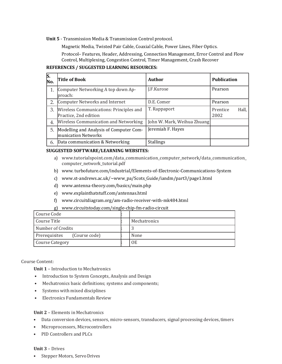Unit 5 - Transmission Media & Transmission Control protocol.

Magnetic Media, Twisted Pair Cable, Coaxial Cable, Power Lines, Fiber Optics.

Protocol– Features, Header, Addressing, Connection Management, Error Control and Flow Control, Multiplexing, Congestion Control, Timer Management, Crash Recover

#### REFERENCES / SUGGESTED LEARNING RESOURCES:

| S.<br>No. | Title of Book                                                    | Author                      | <b>Publication</b>        |
|-----------|------------------------------------------------------------------|-----------------------------|---------------------------|
| 1.        | Computer Networking A top down Ap-<br>lproach:                   | J.F.Kurose                  | Pearson                   |
| 2.        | Computer Networks and Internet                                   | D.E. Comer                  | Pearson                   |
| 3.        | Wireless Communications: Principles and<br>Practice, 2nd edition | T. Rappaport                | Hall,<br>Prentice<br>2002 |
| 4.        | Wireless Communication and Networking                            | John W. Mark, Weihua Zhuang |                           |
| 5.        | Modelling and Analysis of Computer Com-<br>munication Networks   | Jeremiah F. Hayes           |                           |
| 6.        | Data communication & Networking                                  | <b>Stallings</b>            |                           |

#### SUGGESTED SOFTWARE/LEARNING WEBSITES:

- a) www.tutorialspoint.com/data\_communication\_computer\_network/data\_communication\_ computer\_network\_tutorial.pdf
- b) www. turbofuture.com/industrial/Elements-of-Electronic-Communications-System
- c) www.st-andrews.ac.uk/~www\_pa/Scots\_Guide/iandm/part3/page1.html
- d) www.antenna-theory.com/basics/main.php
- e) www.explainthatstuff.com/antennas.html
- f) www.circuitdiagram.org/am-radio-receiver-with-mk484.html
- g) www.circuitstoday.com/single-chip-fm-radio-circuit

| Course Code                    |              |
|--------------------------------|--------------|
| Course Title                   | Mechatronics |
| Number of Credits              |              |
| Prerequisites<br>(Course code) | None         |
| <b>Course Category</b>         | 0E           |

Course Content:

Unit 1 – Introduction to Mechatronics

- Introduction to System Concepts, Analysis and Design
- Mechatronics basic definitions; systems and components;
- Systems with mixed disciplines
- Electronics Fundamentals Review

#### Unit 2 – Elements in Mechatronics

- Data conversion devices, sensors, micro-sensors, transducers, signal processing devices, timers
- Microprocessors, Microcontrollers
- PID Controllers and PLCs

#### Unit 3 – Drives

• Stepper Motors, Servo Drives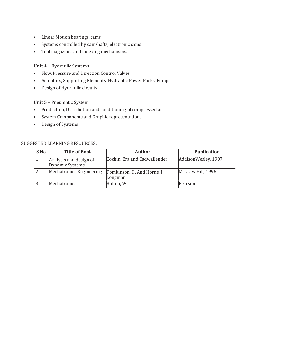- Linear Motion bearings, cams
- Systems controlled by camshafts, electronic cams
- Tool magazines and indexing mechanisms.

# Unit 4 – Hydraulic Systems

- Flow, Pressure and Direction Control Valves
- Actuators, Supporting Elements, Hydraulic Power Packs, Pumps
- Design of Hydraulic circuits

### Unit 5 – Pneumatic System

- Production, Distribution and conditioning of compressed air
- System Components and Graphic representations
- Design of Systems

#### SUGGESTED LEARNING RESOURCES:

| S.No.            | <b>Title of Book</b>                      | <b>Author</b>                          | <b>Publication</b>  |
|------------------|-------------------------------------------|----------------------------------------|---------------------|
| $\overline{1}$ . | Analysis and design of<br>Dynamic Systems | Cochin, Era and Cadwallender           | AddisonWesley, 1997 |
| 2.               | Mechatronics Engineering                  | Tomkinson, D. And Horne, J.<br>Longman | McGraw Hill, 1996   |
|                  | Mechatronics                              | Bolton, W                              | Pearson             |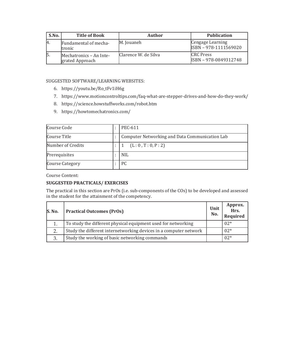| S.No. | <b>Title of Book</b>                       | <b>Author</b>        | <b>Publication</b>                        |
|-------|--------------------------------------------|----------------------|-------------------------------------------|
| -14.  | Fundamental of mecha-<br><b>tronic</b>     | M. Jouaneh           | Cengage Learning<br>ISBN - 978-1111569020 |
|       | Mechatronics - An Inte-<br>grated Approach | Clarence W. de Silva | <b>CRC</b> Press<br>ISBN - 978-0849312748 |

### SUGGESTED SOFTWARE/LEARNING WEBSITES:

- 6. https://youtu.be/Ro\_tFv1iH6g
- 7. https://www.motioncontroltips.com/faq-what-are-stepper-drives-and-how-do-they-work/
- 8. https://science.howstuffworks.com/robot.htm
- 9. https://howtomechatronics.com/

| Course Code            | PEC-611                                        |
|------------------------|------------------------------------------------|
| Course Title           | Computer Networking and Data Communication Lab |
| Number of Credits      | (L: 0, T: 0, P: 2)                             |
| Prerequisites          | <b>NIL</b>                                     |
| <b>Course Category</b> | PC.                                            |

Course Content:

# SUGGESTED PRACTICALS/ EXERCISES

The practical in this section are PrOs (i.e. sub-components of the COs) to be developed and assessed in the student for the attainment of the competency.

| S. No. | <b>Practical Outcomes (PrOs)</b>                                  | Unit<br>No. | Approx.<br>--<br>Hrs.<br>Required |
|--------|-------------------------------------------------------------------|-------------|-----------------------------------|
|        | To study the different physical equipment used for networking     |             | $02*$                             |
|        | Study the different internetworking devices in a computer network |             | $02*$                             |
|        | Study the working of basic networking commands                    |             | $02*$                             |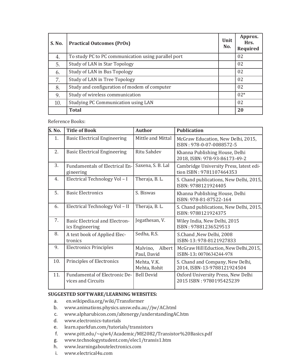| S. No. | <b>Practical Outcomes (PrOs)</b>                    | Unit<br>No. | Approx.<br>Hrs.<br>Required |
|--------|-----------------------------------------------------|-------------|-----------------------------|
| 4.     | To study PC to PC communication using parallel port |             | 02                          |
| 5.     | Study of LAN in Star Topology                       |             | 02                          |
| 6.     | Study of LAN in Bus Topology                        |             | 02                          |
| 7.     | Study of LAN in Tree Topology                       |             | 02                          |
| 8.     | Study and configuration of modem of computer        |             | 02                          |
| 9.     | Study of wireless communication                     |             | $02*$                       |
| 10.    | Studying PC Communication using LAN                 |             | 02                          |
|        | <b>Total</b>                                        |             | 20                          |

Reference Books:

| <b>S. No.</b> | <b>Title of Book</b>                                     | <b>Author</b>                     | <b>Publication</b>                                                  |
|---------------|----------------------------------------------------------|-----------------------------------|---------------------------------------------------------------------|
| 1.            | <b>Basic Electrical Engineering</b>                      | Mittle and Mittal                 | McGraw Education, New Delhi, 2015,<br>ISBN: 978-0-07-0088572-5      |
| 2.            | <b>Basic Electrical Engineering</b>                      | <b>Ritu Sahdev</b>                | Khanna Publishing House, Delhi<br>2018, ISBN: 978-93-86173-49-2     |
| 3.            | <b>Fundamentals of Electrical En-</b><br>gineering       | Saxena, S. B. Lal                 | Cambridge University Press, latest edi-<br>tion ISBN: 9781107464353 |
| 4.            | Electrical Technology Vol-I                              | Theraja, B. L.                    | S. Chand publications, New Delhi, 2015,<br>ISBN: 9788121924405      |
| 5.            | <b>Basic Electronics</b>                                 | S. Biswas                         | Khanna Publishing House, Delhi<br>ISBN: 978-81-87522-164            |
| 6.            | Electrical Technology Vol - II                           | Theraja, B. L.                    | S. Chand publications, New Delhi, 2015,<br>ISBN: 9788121924375      |
| 7.            | <b>Basic Electrical and Electron-</b><br>ics Engineering | Jegathesan, V.                    | Wiley India, New Delhi, 2015<br>ISBN: 97881236529513                |
| 8.            | A text book of Applied Elec-<br>tronics                  | Sedha, R.S.                       | S.Chand , New Delhi, 2008<br>ISBN-13: 978-8121927833                |
| 9.            | <b>Electronics Principles</b>                            | Albert<br>Malvino,<br>Paul, David | McGraw Hill Eduction, New Delhi, 2015,<br>ISBN-13: 0070634244-978   |
| 10.           | Principles of Electronics                                | Mehta, V.K.<br>Mehta, Rohit       | S. Chand and Company, New Delhi,<br>2014, ISBN-13-9788121924504     |
| 11.           | Fundamental of Electronic De-<br>vices and Circuits      | <b>Bell Devid</b>                 | Oxford University Press, New Delhi<br>2015 ISBN: 9780195425239      |

# SUGGESTED SOFTWARE/LEARNING WEBSITES:

- a. en.wikipedia.org/wiki/Transformer
- b. www.animations.physics.unsw.edu.au//jw/AC.html
- c. www.alpharubicon.com/altenergy/understandingAC.htm
- d. www.electronics-tutorials
- e. learn.sparkfun.com/tutorials/transistors
- f. www.pitt.edu/~qiw4/Academic/ME2082/Transistor%20Basics.pdf
- g. www.technologystudent.com/elec1/transis1.htm
- h. www.learningaboutelectronics.com
- i. www.electrical4u.com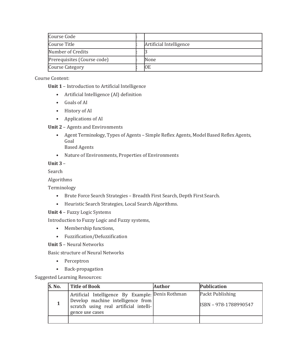| Course Code                 |                         |
|-----------------------------|-------------------------|
| Course Title                | Artificial Intelligence |
| Number of Credits           |                         |
| Prerequisites (Course code) | <b>None</b>             |
| <b>Course Category</b>      | ЮE                      |

Course Content:

Unit 1 – Introduction to Artificial Intelligence

- Artificial Intelligence (AI) definition
- Goals of AI
- History of AI
- Applications of AI

Unit 2 – Agents and Environments

- Agent Terminology, Types of Agents Simple Reflex Agents, Model Based Reflex Agents, Goal Based Agents
- Nature of Environments, Properties of Environments

# Unit 3 –

Search

Algorithms

Terminology

- Brute Force Search Strategies Breadth First Search, Depth First Search.
- Heuristic Search Strategies, Local Search Algorithms.

Unit 4 – Fuzzy Logic Systems

Introduction to Fuzzy Logic and Fuzzy systems,

- Membership functions,
- Fuzzification/Defuzzification

Unit 5 – Neural Networks

Basic structure of Neural Networks

- Perceptron
- Back-propagation

Suggested Learning Resources:

| S. No. | <b>Title of Book</b>                                                                                                                                | Author | Publication                               |
|--------|-----------------------------------------------------------------------------------------------------------------------------------------------------|--------|-------------------------------------------|
|        | Artificial Intelligence By Example: Denis Rothman<br>Develop machine intelligence from<br>scratch using real artificial intelli-<br>gence use cases |        | Packt Publishing<br>ISBN - 978-1788990547 |
|        |                                                                                                                                                     |        |                                           |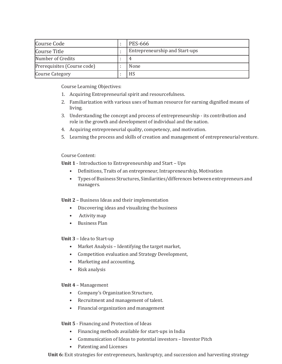| Course Code                 | <b>PES-666</b>                 |  |
|-----------------------------|--------------------------------|--|
| Course Title                | Entrepreneurship and Start-ups |  |
| Number of Credits           |                                |  |
| Prerequisites (Course code) | None                           |  |
| <b>Course Category</b>      | HS                             |  |

Course Learning Objectives:

- 1. Acquiring Entrepreneurial spirit and resourcefulness.
- 2. Familiarization with various uses of human resource for earning dignified means of living.
- 3. Understanding the concept and process of entrepreneurship its contribution and role in the growth and development of individual and the nation.
- 4. Acquiring entrepreneurial quality, competency, and motivation.
- 5. Learning the process and skills of creation and management of entrepreneurial venture.

### Course Content:

Unit 1 - Introduction to Entrepreneurship and Start - Ups

- Definitions, Traits of an entrepreneur, Intrapreneurship, Motivation
- Types of Business Structures, Similarities/differences between entrepreneurs and managers.

# Unit 2 – Business Ideas and their implementation

- Discovering ideas and visualizing the business
- Activity map
- Business Plan

Unit 3 – Idea to Start-up

- Market Analysis Identifying the target market,
- Competition evaluation and Strategy Development,
- Marketing and accounting,
- Risk analysis

#### Unit 4 – Management

- Company's Organization Structure,
- Recruitment and management of talent.
- Financial organization and management
- Unit 5 Financing and Protection of Ideas
	- Financing methods available for start-ups in India
	- Communication of Ideas to potential investors Investor Pitch
	- Patenting and Licenses

Unit 6: Exit strategies for entrepreneurs, bankruptcy, and succession and harvesting strategy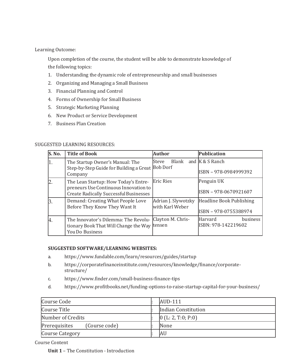Learning Outcome:

Upon completion of the course, the student will be able to demonstrate knowledge of the following topics:

- 1. Understanding the dynamic role of entrepreneurship and small businesses
- 2. Organizing and Managing a Small Business
- 3. Financial Planning and Control
- 4. Forms of Ownership for Small Business
- 5. Strategic Marketing Planning
- 6. New Product or Service Development
- 7. Business Plan Creation

# SUGGESTED LEARNING RESOURCES:

| S. No. | <b>Title of Book</b>                                                                                                           | Author                                              | Publication                                       |
|--------|--------------------------------------------------------------------------------------------------------------------------------|-----------------------------------------------------|---------------------------------------------------|
| 1.     | The Startup Owner's Manual: The<br>Step-by-Step Guide for Building a Great<br>Company                                          | Blank and $K & S$ Ranch<br>Steve<br><b>Bob Dorf</b> | ISBN - 978-0984999392                             |
| 2      | The Lean Startup: How Today's Entre-<br>preneurs Use Continuous Innovation to<br><b>Create Radically Successful Businesses</b> | <b>Eric Ries</b>                                    | Penguin UK<br>ISBN - 978-0670921607               |
| B.     | Demand: Creating What People Love<br>Before They Know They Want It                                                             | Adrian J. Slywotzky<br>with Karl Weber              | Headline Book Publishing<br>ISBN - 978-0755388974 |
| 4.     | The Innovator's Dilemma: The Revolu-<br>tionary Book That Will Change the Way tensen<br>You Do Business                        | Clayton M. Chris-                                   | Harvard<br>business<br>ISBN: 978-142219602        |

#### SUGGESTED SOFTWARE/LEARNING WEBSITES:

- a. https://www.fundable.com/learn/resources/guides/startup
- b. https://corporatefinanceinstitute.com/resources/knowledge/finance/corporatestructure/
- c. https://www.finder.com/small-business-finance-tips
- d. https://www.profitbooks.net/funding-options-to-raise-startup-capital-for-your-business/

| Course Code            |               | AUD-111             |
|------------------------|---------------|---------------------|
| Course Title           |               | Indian Constitution |
| Number of Credits      |               | [0(L:2, T:0; P:0)]  |
| Prerequisites          | (Course code) | None                |
| <b>Course Category</b> |               | AU                  |

Course Content

Unit 1 – The Constitution - Introduction